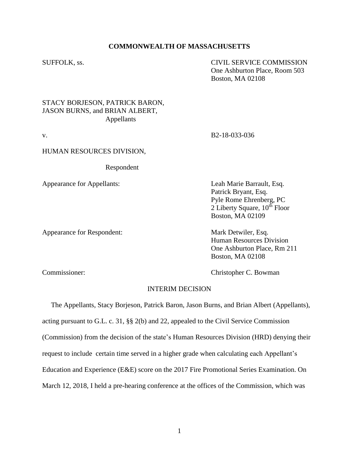### **COMMONWEALTH OF MASSACHUSETTS**

SUFFOLK, ss. CIVIL SERVICE COMMISSION One Ashburton Place, Room 503 Boston, MA 02108

## STACY BORJESON, PATRICK BARON, JASON BURNS, and BRIAN ALBERT, Appellants

v. B2-18-033-036

### HUMAN RESOURCES DIVISION,

Respondent

Appearance for Appellants: Leah Marie Barrault, Esq.

Appearance for Respondent: Mark Detwiler, Esq.

Patrick Bryant, Esq. Pyle Rome Ehrenberg, PC 2 Liberty Square,  $10^{th}$  Floor Boston, MA 02109

Human Resources Division One Ashburton Place, Rm 211 Boston, MA 02108

Commissioner: Christopher C. Bowman

## INTERIM DECISION

 The Appellants, Stacy Borjeson, Patrick Baron, Jason Burns, and Brian Albert (Appellants), acting pursuant to G.L. c. 31, §§ 2(b) and 22, appealed to the Civil Service Commission (Commission) from the decision of the state's Human Resources Division (HRD) denying their request to include certain time served in a higher grade when calculating each Appellant's Education and Experience (E&E) score on the 2017 Fire Promotional Series Examination. On March 12, 2018, I held a pre-hearing conference at the offices of the Commission, which was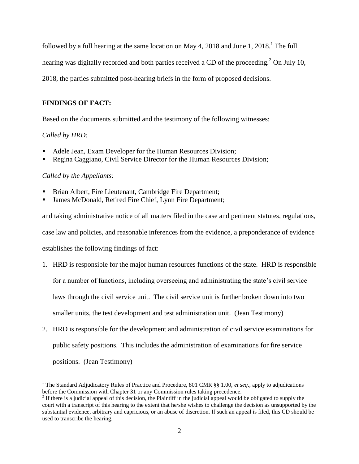followed by a full hearing at the same location on May 4, 2018 and June 1, 2018.<sup>1</sup> The full

hearing was digitally recorded and both parties received a CD of the proceeding.<sup>2</sup> On July 10,

2018, the parties submitted post-hearing briefs in the form of proposed decisions.

# **FINDINGS OF FACT:**

Based on the documents submitted and the testimony of the following witnesses:

# *Called by HRD:*

 $\overline{a}$ 

- Adele Jean, Exam Developer for the Human Resources Division;
- Regina Caggiano, Civil Service Director for the Human Resources Division;

# *Called by the Appellants:*

- Brian Albert, Fire Lieutenant, Cambridge Fire Department;
- James McDonald, Retired Fire Chief, Lynn Fire Department;

and taking administrative notice of all matters filed in the case and pertinent statutes, regulations, case law and policies, and reasonable inferences from the evidence, a preponderance of evidence establishes the following findings of fact:

1. HRD is responsible for the major human resources functions of the state. HRD is responsible for a number of functions, including overseeing and administrating the state's civil service

laws through the civil service unit. The civil service unit is further broken down into two

smaller units, the test development and test administration unit. (Jean Testimony)

2. HRD is responsible for the development and administration of civil service examinations for public safety positions. This includes the administration of examinations for fire service positions. (Jean Testimony)

<sup>&</sup>lt;sup>1</sup> The Standard Adjudicatory Rules of Practice and Procedure, 801 CMR §§ 1.00, *et seq.*, apply to adjudications before the Commission with Chapter 31 or any Commission rules taking precedence.

 $2<sup>2</sup>$  If there is a judicial appeal of this decision, the Plaintiff in the judicial appeal would be obligated to supply the court with a transcript of this hearing to the extent that he/she wishes to challenge the decision as unsupported by the substantial evidence, arbitrary and capricious, or an abuse of discretion. If such an appeal is filed, this CD should be used to transcribe the hearing.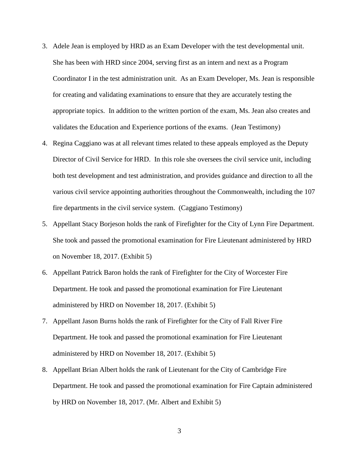- 3. Adele Jean is employed by HRD as an Exam Developer with the test developmental unit. She has been with HRD since 2004, serving first as an intern and next as a Program Coordinator I in the test administration unit. As an Exam Developer, Ms. Jean is responsible for creating and validating examinations to ensure that they are accurately testing the appropriate topics. In addition to the written portion of the exam, Ms. Jean also creates and validates the Education and Experience portions of the exams. (Jean Testimony)
- 4. Regina Caggiano was at all relevant times related to these appeals employed as the Deputy Director of Civil Service for HRD. In this role she oversees the civil service unit, including both test development and test administration, and provides guidance and direction to all the various civil service appointing authorities throughout the Commonwealth, including the 107 fire departments in the civil service system. (Caggiano Testimony)
- 5. Appellant Stacy Borjeson holds the rank of Firefighter for the City of Lynn Fire Department. She took and passed the promotional examination for Fire Lieutenant administered by HRD on November 18, 2017. (Exhibit 5)
- 6. Appellant Patrick Baron holds the rank of Firefighter for the City of Worcester Fire Department. He took and passed the promotional examination for Fire Lieutenant administered by HRD on November 18, 2017. (Exhibit 5)
- 7. Appellant Jason Burns holds the rank of Firefighter for the City of Fall River Fire Department. He took and passed the promotional examination for Fire Lieutenant administered by HRD on November 18, 2017. (Exhibit 5)
- 8. Appellant Brian Albert holds the rank of Lieutenant for the City of Cambridge Fire Department. He took and passed the promotional examination for Fire Captain administered by HRD on November 18, 2017. (Mr. Albert and Exhibit 5)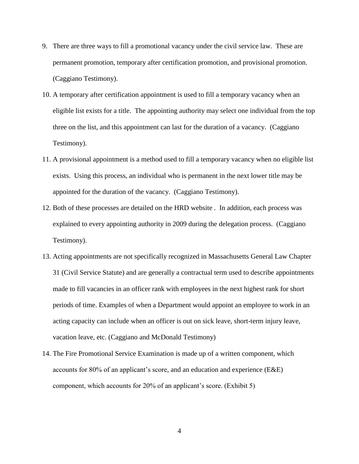- 9. There are three ways to fill a promotional vacancy under the civil service law. These are permanent promotion, temporary after certification promotion, and provisional promotion. (Caggiano Testimony).
- 10. A temporary after certification appointment is used to fill a temporary vacancy when an eligible list exists for a title. The appointing authority may select one individual from the top three on the list, and this appointment can last for the duration of a vacancy. (Caggiano Testimony).
- 11. A provisional appointment is a method used to fill a temporary vacancy when no eligible list exists. Using this process, an individual who is permanent in the next lower title may be appointed for the duration of the vacancy. (Caggiano Testimony).
- 12. Both of these processes are detailed on the HRD website . In addition, each process was explained to every appointing authority in 2009 during the delegation process. (Caggiano Testimony).
- 13. Acting appointments are not specifically recognized in Massachusetts General Law Chapter 31 (Civil Service Statute) and are generally a contractual term used to describe appointments made to fill vacancies in an officer rank with employees in the next highest rank for short periods of time. Examples of when a Department would appoint an employee to work in an acting capacity can include when an officer is out on sick leave, short-term injury leave, vacation leave, etc. (Caggiano and McDonald Testimony)
- 14. The Fire Promotional Service Examination is made up of a written component, which accounts for 80% of an applicant's score, and an education and experience (E&E) component, which accounts for 20% of an applicant's score. (Exhibit 5)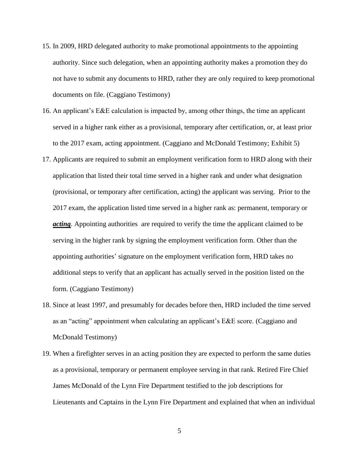- 15. In 2009, HRD delegated authority to make promotional appointments to the appointing authority. Since such delegation, when an appointing authority makes a promotion they do not have to submit any documents to HRD, rather they are only required to keep promotional documents on file. (Caggiano Testimony)
- 16. An applicant's E&E calculation is impacted by, among other things, the time an applicant served in a higher rank either as a provisional, temporary after certification, or, at least prior to the 2017 exam, acting appointment. (Caggiano and McDonald Testimony; Exhibit 5)
- 17. Applicants are required to submit an employment verification form to HRD along with their application that listed their total time served in a higher rank and under what designation (provisional, or temporary after certification, acting) the applicant was serving. Prior to the 2017 exam, the application listed time served in a higher rank as: permanent, temporary or *acting*. Appointing authorities are required to verify the time the applicant claimed to be serving in the higher rank by signing the employment verification form. Other than the appointing authorities' signature on the employment verification form, HRD takes no additional steps to verify that an applicant has actually served in the position listed on the form. (Caggiano Testimony)
- 18. Since at least 1997, and presumably for decades before then, HRD included the time served as an "acting" appointment when calculating an applicant's E&E score. (Caggiano and McDonald Testimony)
- 19. When a firefighter serves in an acting position they are expected to perform the same duties as a provisional, temporary or permanent employee serving in that rank. Retired Fire Chief James McDonald of the Lynn Fire Department testified to the job descriptions for Lieutenants and Captains in the Lynn Fire Department and explained that when an individual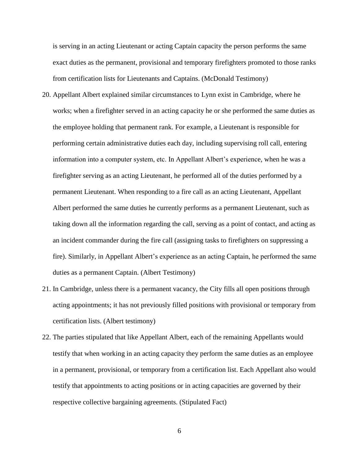is serving in an acting Lieutenant or acting Captain capacity the person performs the same exact duties as the permanent, provisional and temporary firefighters promoted to those ranks from certification lists for Lieutenants and Captains. (McDonald Testimony)

- 20. Appellant Albert explained similar circumstances to Lynn exist in Cambridge, where he works; when a firefighter served in an acting capacity he or she performed the same duties as the employee holding that permanent rank. For example, a Lieutenant is responsible for performing certain administrative duties each day, including supervising roll call, entering information into a computer system, etc. In Appellant Albert's experience, when he was a firefighter serving as an acting Lieutenant, he performed all of the duties performed by a permanent Lieutenant. When responding to a fire call as an acting Lieutenant, Appellant Albert performed the same duties he currently performs as a permanent Lieutenant, such as taking down all the information regarding the call, serving as a point of contact, and acting as an incident commander during the fire call (assigning tasks to firefighters on suppressing a fire). Similarly, in Appellant Albert's experience as an acting Captain, he performed the same duties as a permanent Captain. (Albert Testimony)
- 21. In Cambridge, unless there is a permanent vacancy, the City fills all open positions through acting appointments; it has not previously filled positions with provisional or temporary from certification lists. (Albert testimony)
- 22. The parties stipulated that like Appellant Albert, each of the remaining Appellants would testify that when working in an acting capacity they perform the same duties as an employee in a permanent, provisional, or temporary from a certification list. Each Appellant also would testify that appointments to acting positions or in acting capacities are governed by their respective collective bargaining agreements. (Stipulated Fact)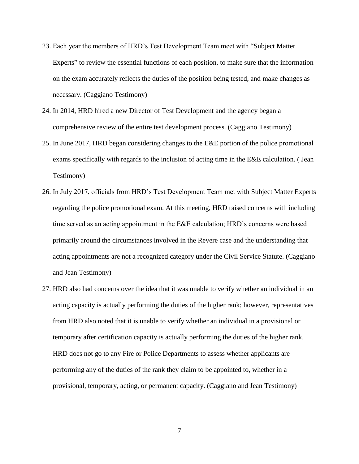- 23. Each year the members of HRD's Test Development Team meet with "Subject Matter Experts" to review the essential functions of each position, to make sure that the information on the exam accurately reflects the duties of the position being tested, and make changes as necessary. (Caggiano Testimony)
- 24. In 2014, HRD hired a new Director of Test Development and the agency began a comprehensive review of the entire test development process. (Caggiano Testimony)
- 25. In June 2017, HRD began considering changes to the E&E portion of the police promotional exams specifically with regards to the inclusion of acting time in the E&E calculation. ( Jean Testimony)
- 26. In July 2017, officials from HRD's Test Development Team met with Subject Matter Experts regarding the police promotional exam. At this meeting, HRD raised concerns with including time served as an acting appointment in the E&E calculation; HRD's concerns were based primarily around the circumstances involved in the Revere case and the understanding that acting appointments are not a recognized category under the Civil Service Statute. (Caggiano and Jean Testimony)
- 27. HRD also had concerns over the idea that it was unable to verify whether an individual in an acting capacity is actually performing the duties of the higher rank; however, representatives from HRD also noted that it is unable to verify whether an individual in a provisional or temporary after certification capacity is actually performing the duties of the higher rank. HRD does not go to any Fire or Police Departments to assess whether applicants are performing any of the duties of the rank they claim to be appointed to, whether in a provisional, temporary, acting, or permanent capacity. (Caggiano and Jean Testimony)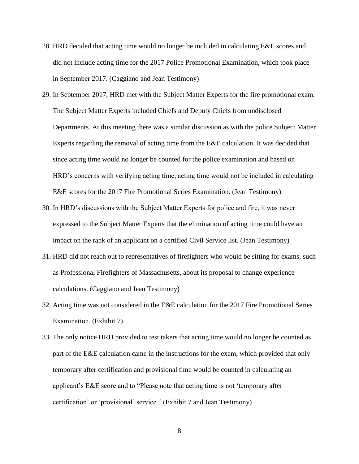- 28. HRD decided that acting time would no longer be included in calculating E&E scores and did not include acting time for the 2017 Police Promotional Examination, which took place in September 2017. (Caggiano and Jean Testimony)
- 29. In September 2017, HRD met with the Subject Matter Experts for the fire promotional exam. The Subject Matter Experts included Chiefs and Deputy Chiefs from undisclosed Departments. At this meeting there was a similar discussion as with the police Subject Matter Experts regarding the removal of acting time from the E&E calculation. It was decided that since acting time would no longer be counted for the police examination and based on HRD's concerns with verifying acting time, acting time would not be included in calculating E&E scores for the 2017 Fire Promotional Series Examination. (Jean Testimony)
- 30. In HRD's discussions with the Subject Matter Experts for police and fire, it was never expressed to the Subject Matter Experts that the elimination of acting time could have an impact on the rank of an applicant on a certified Civil Service list. (Jean Testimony)
- 31. HRD did not reach out to representatives of firefighters who would be sitting for exams, such as Professional Firefighters of Massachusetts, about its proposal to change experience calculations. (Caggiano and Jean Testimony)
- 32. Acting time was not considered in the E&E calculation for the 2017 Fire Promotional Series Examination. (Exhibit 7)
- 33. The only notice HRD provided to test takers that acting time would no longer be counted as part of the E&E calculation came in the instructions for the exam, which provided that only temporary after certification and provisional time would be counted in calculating an applicant's E&E score and to "Please note that acting time is not 'temporary after certification' or 'provisional' service." (Exhibit 7 and Jean Testimony)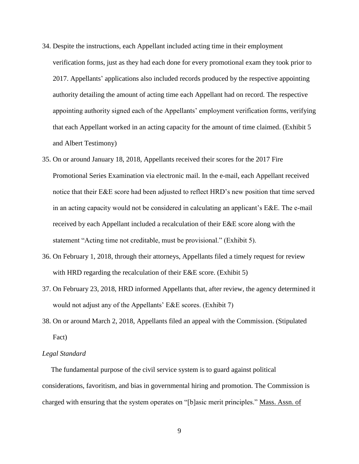- 34. Despite the instructions, each Appellant included acting time in their employment verification forms, just as they had each done for every promotional exam they took prior to 2017. Appellants' applications also included records produced by the respective appointing authority detailing the amount of acting time each Appellant had on record. The respective appointing authority signed each of the Appellants' employment verification forms, verifying that each Appellant worked in an acting capacity for the amount of time claimed. (Exhibit 5 and Albert Testimony)
- 35. On or around January 18, 2018, Appellants received their scores for the 2017 Fire Promotional Series Examination via electronic mail. In the e-mail, each Appellant received notice that their E&E score had been adjusted to reflect HRD's new position that time served in an acting capacity would not be considered in calculating an applicant's E&E. The e-mail received by each Appellant included a recalculation of their E&E score along with the statement "Acting time not creditable, must be provisional." (Exhibit 5).
- 36. On February 1, 2018, through their attorneys, Appellants filed a timely request for review with HRD regarding the recalculation of their E&E score. (Exhibit 5)
- 37. On February 23, 2018, HRD informed Appellants that, after review, the agency determined it would not adjust any of the Appellants' E&E scores. (Exhibit 7)
- 38. On or around March 2, 2018, Appellants filed an appeal with the Commission. (Stipulated Fact)

#### *Legal Standard*

 The fundamental purpose of the civil service system is to guard against political considerations, favoritism, and bias in governmental hiring and promotion. The Commission is charged with ensuring that the system operates on "[b]asic merit principles." Mass. Assn. of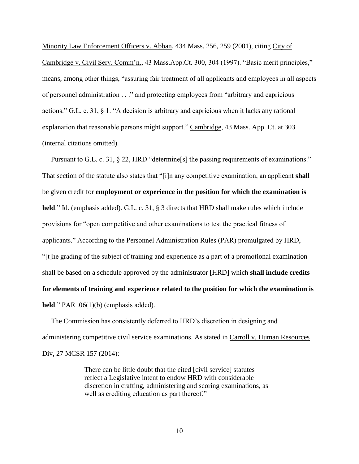Minority Law Enforcement Officers v. Abban, 434 Mass. 256, 259 (2001), citing City of Cambridge v. Civil Serv. Comm'n., 43 Mass.App.Ct. 300, 304 (1997). "Basic merit principles," means, among other things, "assuring fair treatment of all applicants and employees in all aspects of personnel administration . . ." and protecting employees from "arbitrary and capricious actions." G.L. c. 31, § 1. "A decision is arbitrary and capricious when it lacks any rational explanation that reasonable persons might support." Cambridge, 43 Mass. App. Ct. at 303 (internal citations omitted).

Pursuant to G.L. c. 31, § 22, HRD "determine[s] the passing requirements of examinations." That section of the statute also states that "[i]n any competitive examination, an applicant **shall** be given credit for **employment or experience in the position for which the examination is held**." Id. (emphasis added). G.L. c. 31, § 3 directs that HRD shall make rules which include provisions for "open competitive and other examinations to test the practical fitness of applicants." According to the Personnel Administration Rules (PAR) promulgated by HRD, "[t]he grading of the subject of training and experience as a part of a promotional examination shall be based on a schedule approved by the administrator [HRD] which **shall include credits for elements of training and experience related to the position for which the examination is held**." PAR .06(1)(b) (emphasis added).

 The Commission has consistently deferred to HRD's discretion in designing and administering competitive civil service examinations. As stated in Carroll v. Human Resources Div, 27 MCSR 157 (2014):

> There can be little doubt that the cited [civil service] statutes reflect a Legislative intent to endow HRD with considerable discretion in crafting, administering and scoring examinations, as well as crediting education as part thereof."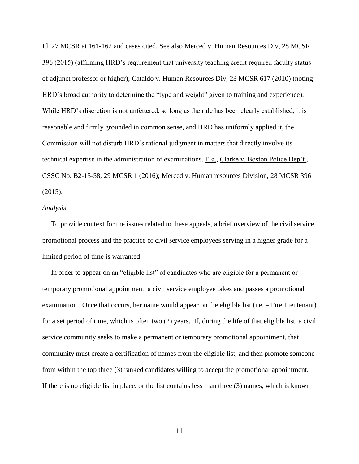Id. 27 MCSR at 161-162 and cases cited. See also Merced v. Human Resources Div, 28 MCSR 396 (2015) (affirming HRD's requirement that university teaching credit required faculty status of adjunct professor or higher); Cataldo v. Human Resources Div, 23 MCSR 617 (2010) (noting HRD's broad authority to determine the "type and weight" given to training and experience). While HRD's discretion is not unfettered, so long as the rule has been clearly established, it is reasonable and firmly grounded in common sense, and HRD has uniformly applied it, the Commission will not disturb HRD's rational judgment in matters that directly involve its technical expertise in the administration of examinations. E.g., Clarke v. Boston Police Dep't., CSSC No. B2-15-58, 29 MCSR 1 (2016); Merced v. Human resources Division, 28 MCSR 396 (2015).

#### *Analysis*

 To provide context for the issues related to these appeals, a brief overview of the civil service promotional process and the practice of civil service employees serving in a higher grade for a limited period of time is warranted.

 In order to appear on an "eligible list" of candidates who are eligible for a permanent or temporary promotional appointment, a civil service employee takes and passes a promotional examination. Once that occurs, her name would appear on the eligible list (i.e. – Fire Lieutenant) for a set period of time, which is often two (2) years. If, during the life of that eligible list, a civil service community seeks to make a permanent or temporary promotional appointment, that community must create a certification of names from the eligible list, and then promote someone from within the top three (3) ranked candidates willing to accept the promotional appointment. If there is no eligible list in place, or the list contains less than three (3) names, which is known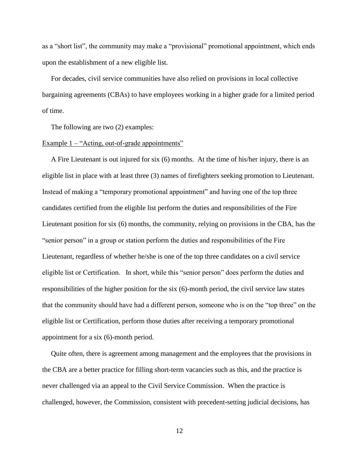as a "short list", the community may make a "provisional" promotional appointment, which ends upon the establishment of a new eligible list.

 For decades, civil service communities have also relied on provisions in local collective bargaining agreements (CBAs) to have employees working in a higher grade for a limited period of time.

The following are two (2) examples:

#### Example 1 – "Acting, out-of-grade appointments"

 A Fire Lieutenant is out injured for six (6) months. At the time of his/her injury, there is an eligible list in place with at least three (3) names of firefighters seeking promotion to Lieutenant. Instead of making a "temporary promotional appointment" and having one of the top three candidates certified from the eligible list perform the duties and responsibilities of the Fire Lieutenant position for six (6) months, the community, relying on provisions in the CBA, has the "senior person" in a group or station perform the duties and responsibilities of the Fire Lieutenant, regardless of whether he/she is one of the top three candidates on a civil service eligible list or Certification. In short, while this "senior person" does perform the duties and responsibilities of the higher position for the six (6)-month period, the civil service law states that the community should have had a different person, someone who is on the "top three" on the eligible list or Certification, perform those duties after receiving a temporary promotional appointment for a six (6)-month period.

 Quite often, there is agreement among management and the employees that the provisions in the CBA are a better practice for filling short-term vacancies such as this, and the practice is never challenged via an appeal to the Civil Service Commission. When the practice is challenged, however, the Commission, consistent with precedent-setting judicial decisions, has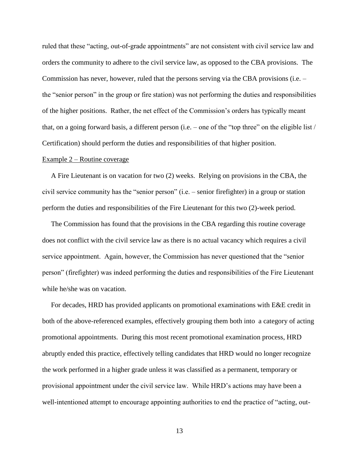ruled that these "acting, out-of-grade appointments" are not consistent with civil service law and orders the community to adhere to the civil service law, as opposed to the CBA provisions. The Commission has never, however, ruled that the persons serving via the CBA provisions (i.e. – the "senior person" in the group or fire station) was not performing the duties and responsibilities of the higher positions. Rather, the net effect of the Commission's orders has typically meant that, on a going forward basis, a different person (i.e. – one of the "top three" on the eligible list / Certification) should perform the duties and responsibilities of that higher position.

#### Example 2 – Routine coverage

 A Fire Lieutenant is on vacation for two (2) weeks. Relying on provisions in the CBA, the civil service community has the "senior person" (i.e. – senior firefighter) in a group or station perform the duties and responsibilities of the Fire Lieutenant for this two (2)-week period.

 The Commission has found that the provisions in the CBA regarding this routine coverage does not conflict with the civil service law as there is no actual vacancy which requires a civil service appointment. Again, however, the Commission has never questioned that the "senior person" (firefighter) was indeed performing the duties and responsibilities of the Fire Lieutenant while he/she was on vacation.

 For decades, HRD has provided applicants on promotional examinations with E&E credit in both of the above-referenced examples, effectively grouping them both into a category of acting promotional appointments. During this most recent promotional examination process, HRD abruptly ended this practice, effectively telling candidates that HRD would no longer recognize the work performed in a higher grade unless it was classified as a permanent, temporary or provisional appointment under the civil service law. While HRD's actions may have been a well-intentioned attempt to encourage appointing authorities to end the practice of "acting, out-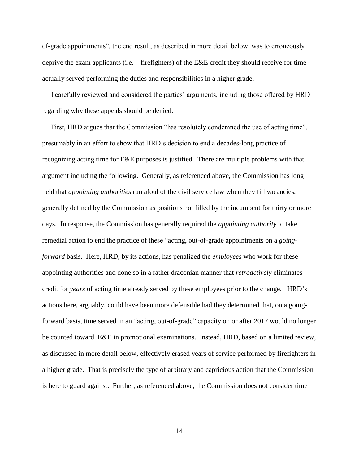of-grade appointments", the end result, as described in more detail below, was to erroneously deprive the exam applicants (i.e. – firefighters) of the E&E credit they should receive for time actually served performing the duties and responsibilities in a higher grade.

 I carefully reviewed and considered the parties' arguments, including those offered by HRD regarding why these appeals should be denied.

 First, HRD argues that the Commission "has resolutely condemned the use of acting time", presumably in an effort to show that HRD's decision to end a decades-long practice of recognizing acting time for E&E purposes is justified. There are multiple problems with that argument including the following. Generally, as referenced above, the Commission has long held that *appointing authorities* run afoul of the civil service law when they fill vacancies, generally defined by the Commission as positions not filled by the incumbent for thirty or more days. In response, the Commission has generally required the *appointing authority* to take remedial action to end the practice of these "acting, out-of-grade appointments on a *goingforward* basis. Here, HRD, by its actions, has penalized the *employees* who work for these appointing authorities and done so in a rather draconian manner that *retroactively* eliminates credit for *years* of acting time already served by these employees prior to the change. HRD's actions here, arguably, could have been more defensible had they determined that, on a goingforward basis, time served in an "acting, out-of-grade" capacity on or after 2017 would no longer be counted toward E&E in promotional examinations. Instead, HRD, based on a limited review, as discussed in more detail below, effectively erased years of service performed by firefighters in a higher grade. That is precisely the type of arbitrary and capricious action that the Commission is here to guard against. Further, as referenced above, the Commission does not consider time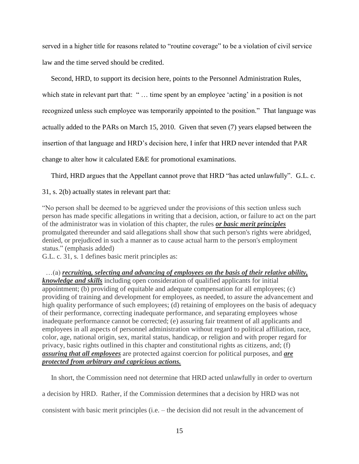served in a higher title for reasons related to "routine coverage" to be a violation of civil service law and the time served should be credited.

 Second, HRD, to support its decision here, points to the Personnel Administration Rules, which state in relevant part that: "... time spent by an employee 'acting' in a position is not recognized unless such employee was temporarily appointed to the position." That language was actually added to the PARs on March 15, 2010. Given that seven (7) years elapsed between the insertion of that language and HRD's decision here, I infer that HRD never intended that PAR change to alter how it calculated E&E for promotional examinations.

Third, HRD argues that the Appellant cannot prove that HRD "has acted unlawfully". G.L. c.

31, s. 2(b) actually states in relevant part that:

"No person shall be deemed to be aggrieved under the provisions of this section unless such person has made specific allegations in writing that a decision, action, or failure to act on the part of the administrator was in violation of this chapter, the rules *or basic merit principles* promulgated thereunder and said allegations shall show that such person's rights were abridged, denied, or prejudiced in such a manner as to cause actual harm to the person's employment status." (emphasis added)

G.L. c. 31, s. 1 defines basic merit principles as:

 …(a) *recruiting, selecting and advancing of employees on the basis of their relative ability, knowledge and skills* including open consideration of qualified applicants for initial appointment; (b) providing of equitable and adequate compensation for all employees; (c) providing of training and development for employees, as needed, to assure the advancement and high quality performance of such employees; (d) retaining of employees on the basis of adequacy of their performance, correcting inadequate performance, and separating employees whose inadequate performance cannot be corrected; (e) assuring fair treatment of all applicants and employees in all aspects of personnel administration without regard to political affiliation, race, color, age, national origin, sex, marital status, handicap, or religion and with proper regard for privacy, basic rights outlined in this chapter and constitutional rights as citizens, and; (f) *assuring that all employees* are protected against coercion for political purposes, and *are protected from arbitrary and capricious actions.*

In short, the Commission need not determine that HRD acted unlawfully in order to overturn

a decision by HRD. Rather, if the Commission determines that a decision by HRD was not

consistent with basic merit principles (i.e. – the decision did not result in the advancement of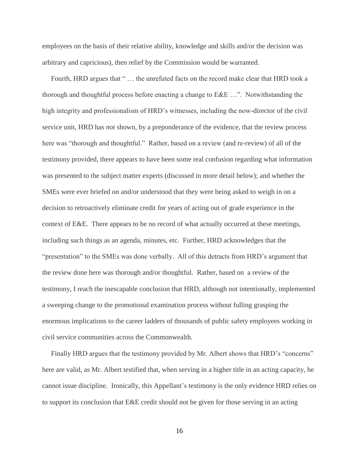employees on the basis of their relative ability, knowledge and skills and/or the decision was arbitrary and capricious), then relief by the Commission would be warranted.

 Fourth, HRD argues that " … the unrefuted facts on the record make clear that HRD took a thorough and thoughtful process before enacting a change to E&E …". Notwithstanding the high integrity and professionalism of HRD's witnesses, including the now-director of the civil service unit, HRD has *not* shown, by a preponderance of the evidence, that the review process here was "thorough and thoughtful." Rather, based on a review (and re-review) of all of the testimony provided, there appears to have been some real confusion regarding what information was presented to the subject matter experts (discussed in more detail below); and whether the SMEs were ever briefed on and/or understood that they were being asked to weigh in on a decision to retroactively eliminate credit for years of acting out of grade experience in the context of E&E. There appears to be no record of what actually occurred at these meetings, including such things as an agenda, minutes, etc. Further, HRD acknowledges that the "presentation" to the SMEs was done verbally. All of this detracts from HRD's argument that the review done here was thorough and/or thoughtful. Rather, based on a review of the testimony, I reach the inescapable conclusion that HRD, although not intentionally, implemented a sweeping change to the promotional examination process without fulling grasping the enormous implications to the career ladders of thousands of public safety employees working in civil service communities across the Commonwealth.

 Finally HRD argues that the testimony provided by Mr. Albert shows that HRD's "concerns" here are valid, as Mr. Albert testified that, when serving in a higher title in an acting capacity, he cannot issue discipline. Ironically, this Appellant's testimony is the only evidence HRD relies on to support its conclusion that E&E credit should not be given for those serving in an acting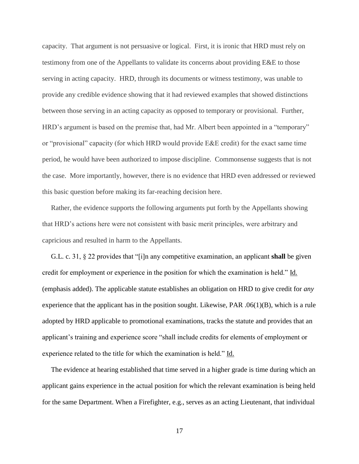capacity. That argument is not persuasive or logical. First, it is ironic that HRD must rely on testimony from one of the Appellants to validate its concerns about providing E&E to those serving in acting capacity. HRD, through its documents or witness testimony, was unable to provide any credible evidence showing that it had reviewed examples that showed distinctions between those serving in an acting capacity as opposed to temporary or provisional. Further, HRD's argument is based on the premise that, had Mr. Albert been appointed in a "temporary" or "provisional" capacity (for which HRD would provide E&E credit) for the exact same time period, he would have been authorized to impose discipline. Commonsense suggests that is not the case. More importantly, however, there is no evidence that HRD even addressed or reviewed this basic question before making its far-reaching decision here.

 Rather, the evidence supports the following arguments put forth by the Appellants showing that HRD's actions here were not consistent with basic merit principles, were arbitrary and capricious and resulted in harm to the Appellants.

 G.L. c. 31, § 22 provides that "[i]n any competitive examination, an applicant **shall** be given credit for employment or experience in the position for which the examination is held." Id. (emphasis added). The applicable statute establishes an obligation on HRD to give credit for *any* experience that the applicant has in the position sought. Likewise,  $PAR$  .06(1)(B), which is a rule adopted by HRD applicable to promotional examinations, tracks the statute and provides that an applicant's training and experience score "shall include credits for elements of employment or experience related to the title for which the examination is held." Id.

 The evidence at hearing established that time served in a higher grade is time during which an applicant gains experience in the actual position for which the relevant examination is being held for the same Department. When a Firefighter, e.g., serves as an acting Lieutenant, that individual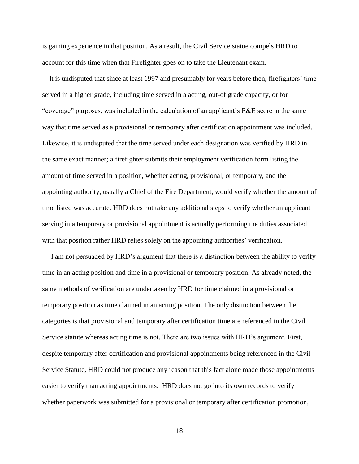is gaining experience in that position. As a result, the Civil Service statue compels HRD to account for this time when that Firefighter goes on to take the Lieutenant exam.

 It is undisputed that since at least 1997 and presumably for years before then, firefighters' time served in a higher grade, including time served in a acting, out-of grade capacity, or for "coverage" purposes, was included in the calculation of an applicant's E&E score in the same way that time served as a provisional or temporary after certification appointment was included. Likewise, it is undisputed that the time served under each designation was verified by HRD in the same exact manner; a firefighter submits their employment verification form listing the amount of time served in a position, whether acting, provisional, or temporary, and the appointing authority, usually a Chief of the Fire Department, would verify whether the amount of time listed was accurate. HRD does not take any additional steps to verify whether an applicant serving in a temporary or provisional appointment is actually performing the duties associated with that position rather HRD relies solely on the appointing authorities' verification.

 I am not persuaded by HRD's argument that there is a distinction between the ability to verify time in an acting position and time in a provisional or temporary position. As already noted, the same methods of verification are undertaken by HRD for time claimed in a provisional or temporary position as time claimed in an acting position. The only distinction between the categories is that provisional and temporary after certification time are referenced in the Civil Service statute whereas acting time is not. There are two issues with HRD's argument. First, despite temporary after certification and provisional appointments being referenced in the Civil Service Statute, HRD could not produce any reason that this fact alone made those appointments easier to verify than acting appointments. HRD does not go into its own records to verify whether paperwork was submitted for a provisional or temporary after certification promotion,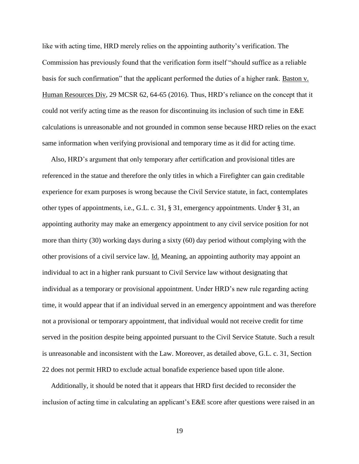like with acting time, HRD merely relies on the appointing authority's verification. The Commission has previously found that the verification form itself "should suffice as a reliable basis for such confirmation" that the applicant performed the duties of a higher rank. Baston v. Human Resources Div, 29 MCSR 62, 64-65 (2016). Thus, HRD's reliance on the concept that it could not verify acting time as the reason for discontinuing its inclusion of such time in E&E calculations is unreasonable and not grounded in common sense because HRD relies on the exact same information when verifying provisional and temporary time as it did for acting time.

 Also, HRD's argument that only temporary after certification and provisional titles are referenced in the statue and therefore the only titles in which a Firefighter can gain creditable experience for exam purposes is wrong because the Civil Service statute, in fact, contemplates other types of appointments, i.e., G.L. c. 31, § 31, emergency appointments. Under § 31, an appointing authority may make an emergency appointment to any civil service position for not more than thirty (30) working days during a sixty (60) day period without complying with the other provisions of a civil service law. Id. Meaning, an appointing authority may appoint an individual to act in a higher rank pursuant to Civil Service law without designating that individual as a temporary or provisional appointment. Under HRD's new rule regarding acting time, it would appear that if an individual served in an emergency appointment and was therefore not a provisional or temporary appointment, that individual would not receive credit for time served in the position despite being appointed pursuant to the Civil Service Statute. Such a result is unreasonable and inconsistent with the Law. Moreover, as detailed above, G.L. c. 31, Section 22 does not permit HRD to exclude actual bonafide experience based upon title alone.

 Additionally, it should be noted that it appears that HRD first decided to reconsider the inclusion of acting time in calculating an applicant's E&E score after questions were raised in an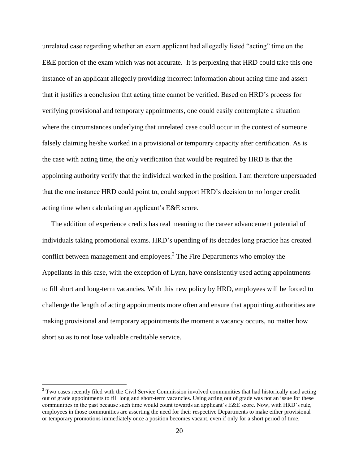unrelated case regarding whether an exam applicant had allegedly listed "acting" time on the E&E portion of the exam which was not accurate. It is perplexing that HRD could take this one instance of an applicant allegedly providing incorrect information about acting time and assert that it justifies a conclusion that acting time cannot be verified. Based on HRD's process for verifying provisional and temporary appointments, one could easily contemplate a situation where the circumstances underlying that unrelated case could occur in the context of someone falsely claiming he/she worked in a provisional or temporary capacity after certification. As is the case with acting time, the only verification that would be required by HRD is that the appointing authority verify that the individual worked in the position. I am therefore unpersuaded that the one instance HRD could point to, could support HRD's decision to no longer credit acting time when calculating an applicant's E&E score.

 The addition of experience credits has real meaning to the career advancement potential of individuals taking promotional exams. HRD's upending of its decades long practice has created conflict between management and employees.<sup>3</sup> The Fire Departments who employ the Appellants in this case, with the exception of Lynn, have consistently used acting appointments to fill short and long-term vacancies. With this new policy by HRD, employees will be forced to challenge the length of acting appointments more often and ensure that appointing authorities are making provisional and temporary appointments the moment a vacancy occurs, no matter how short so as to not lose valuable creditable service.

 $\overline{a}$ 

<sup>&</sup>lt;sup>3</sup> Two cases recently filed with the Civil Service Commission involved communities that had historically used acting out of grade appointments to fill long and short-term vacancies. Using acting out of grade was not an issue for these communities in the past because such time would count towards an applicant's E&E score. Now, with HRD's rule, employees in those communities are asserting the need for their respective Departments to make either provisional or temporary promotions immediately once a position becomes vacant, even if only for a short period of time.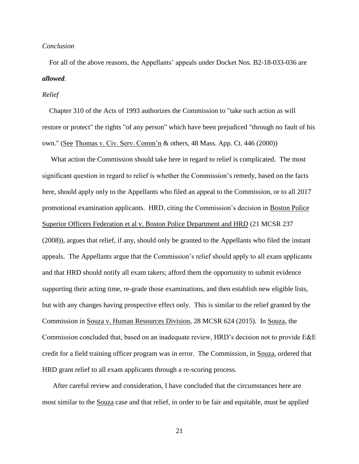#### *Conclusion*

 For all of the above reasons, the Appellants' appeals under Docket Nos. B2-18-033-036 are *allowed*.

#### *Relief*

 Chapter 310 of the Acts of 1993 authorizes the Commission to "take such action as will restore or protect" the rights "of any person" which have been prejudiced "through no fault of his own." (See Thomas v. Civ. Serv. Comm'n & others, 48 Mass. App. Ct. 446 (2000))

 What action the Commission should take here in regard to relief is complicated. The most significant question in regard to relief is whether the Commission's remedy, based on the facts here, should apply only to the Appellants who filed an appeal to the Commission, or to all 2017 promotional examination applicants. HRD, citing the Commission's decision in Boston Police Superior Officers Federation et al v. Boston Police Department and HRD (21 MCSR 237 (2008)), argues that relief, if any, should only be granted to the Appellants who filed the instant appeals. The Appellants argue that the Commission's relief should apply to all exam applicants and that HRD should notify all exam takers; afford them the opportunity to submit evidence supporting their acting time, re-grade those examinations, and then establish new eligible lists, but with any changes having prospective effect only. This is similar to the relief granted by the Commission in Souza v. Human Resources Division, 28 MCSR 624 (2015). In Souza, the Commission concluded that, based on an inadequate review, HRD's decision not to provide E&E credit for a field training officer program was in error. The Commission, in Souza, ordered that HRD grant relief to all exam applicants through a re-scoring process.

 After careful review and consideration, I have concluded that the circumstances here are most similar to the Souza case and that relief, in order to be fair and equitable, must be applied